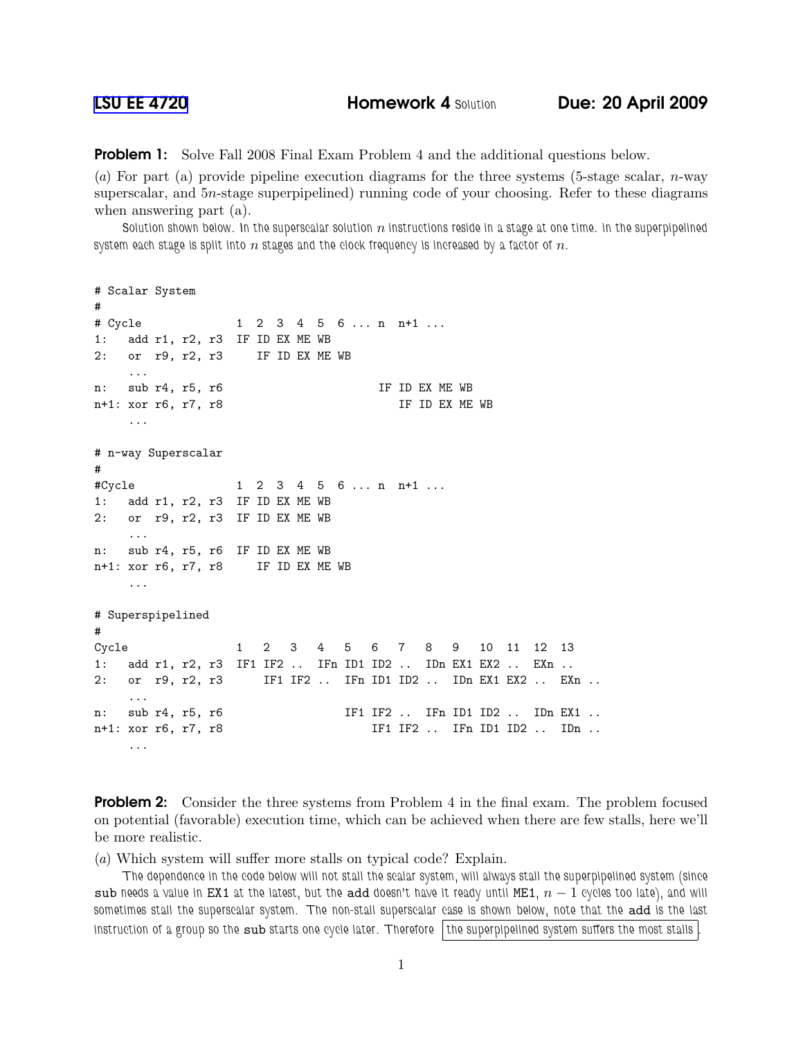**Problem 1:** Solve Fall 2008 Final Exam Problem 4 and the additional questions below.

(a) For part (a) provide pipeline execution diagrams for the three systems (5-stage scalar,  $n$ -way superscalar, and 5n-stage superpipelined) running code of your choosing. Refer to these diagrams when answering part (a).

Solution shown below. In the superscalar solution  $n$  instructions reside in a stage at one time. In the superpipelined system each stage is split into  $n$  stages and the clock frequency is increased by a factor of  $n$ .

```
# Scalar System
#
# Cycle 1 2 3 4 5 6 ... n n+1 ...
1: add r1, r2, r3 IF ID EX ME WB
2: or r9, r2, r3 IF ID EX ME WB
    ...
n: sub r4, r5, r6 IF ID EX ME WB
n+1: xor r6, r7, r8 IF ID EX ME WB
    ...
# n-way Superscalar
#
#Cycle 1 2 3 4 5 6 ... n n+1 ...
1: add r1, r2, r3 IF ID EX ME WB
2: or r9, r2, r3 IF ID EX ME WB
    ...
n: sub r4, r5, r6 IF ID EX ME WB
n+1: xor r6, r7, r8 IF ID EX ME WB
    ...
# Superspipelined
#
Cycle 1 2 3 4 5 6 7 8 9 10 11 12 13
1: add r1, r2, r3 IF1 IF2 .. IFn ID1 ID2 .. IDn EX1 EX2 .. EXn ..
2: or r9, r2, r3 IF1 IF2 .. IFn ID1 ID2 .. IDn EX1 EX2 .. EXn ..
    ...
n: sub r4, r5, r6 IF1 IF2 .. IFn ID1 ID2 .. IDn EX1 ..
n+1: xor r6, r7, r8 IF1 IF2 .. IFn ID1 ID2 .. IDn ..
    ...
```
**Problem 2:** Consider the three systems from Problem 4 in the final exam. The problem focused on potential (favorable) execution time, which can be achieved when there are few stalls, here we'll be more realistic.

(a) Which system will suffer more stalls on typical code? Explain.

The dependence in the code below will not stall the scalar system, will always stall the superpipelined system (since sub needs a value in EX1 at the latest, but the add doesn't have it ready until ME1,  $n-1$  cycles too late), and will sometimes stall the superscalar system. The non-stall superscalar case is shown below, note that the add is the last instruction of a group so the sub starts one cycle later. Therefore the superpipelined system suffers the most stalls